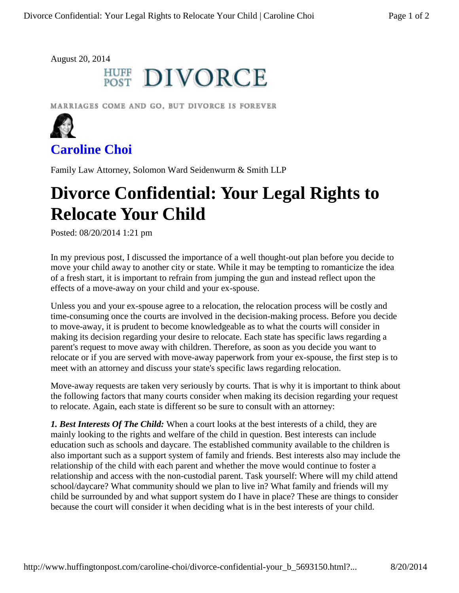August 20, 2014

## **HUFF DIVORCE**

MARRIAGES COME AND GO, BUT DIVORCE IS FOREVER



**Caroline Choi**

Family Law Attorney, Solomon Ward Seidenwurm & Smith LLP

## **Divorce Confidential: Your Legal Rights to Relocate Your Child**

Posted: 08/20/2014 1:21 pm

In my previous post, I discussed the importance of a well thought-out plan before you decide to move your child away to another city or state. While it may be tempting to romanticize the idea of a fresh start, it is important to refrain from jumping the gun and instead reflect upon the effects of a move-away on your child and your ex-spouse.

Unless you and your ex-spouse agree to a relocation, the relocation process will be costly and time-consuming once the courts are involved in the decision-making process. Before you decide to move-away, it is prudent to become knowledgeable as to what the courts will consider in making its decision regarding your desire to relocate. Each state has specific laws regarding a parent's request to move away with children. Therefore, as soon as you decide you want to relocate or if you are served with move-away paperwork from your ex-spouse, the first step is to meet with an attorney and discuss your state's specific laws regarding relocation.

Move-away requests are taken very seriously by courts. That is why it is important to think about the following factors that many courts consider when making its decision regarding your request to relocate. Again, each state is different so be sure to consult with an attorney:

*1. Best Interests Of The Child:* When a court looks at the best interests of a child, they are mainly looking to the rights and welfare of the child in question. Best interests can include education such as schools and daycare. The established community available to the children is also important such as a support system of family and friends. Best interests also may include the relationship of the child with each parent and whether the move would continue to foster a relationship and access with the non-custodial parent. Task yourself: Where will my child attend school/daycare? What community should we plan to live in? What family and friends will my child be surrounded by and what support system do I have in place? These are things to consider because the court will consider it when deciding what is in the best interests of your child.